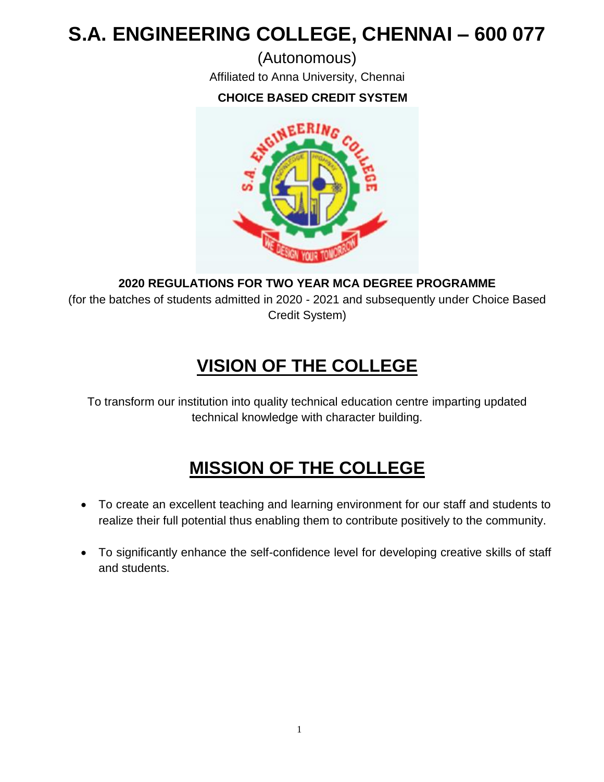# **S.A. ENGINEERING COLLEGE, CHENNAI – 600 077**

(Autonomous) Affiliated to Anna University, Chennai

## **CHOICE BASED CREDIT SYSTEM**



**2020 REGULATIONS FOR TWO YEAR MCA DEGREE PROGRAMME**

(for the batches of students admitted in 2020 - 2021 and subsequently under Choice Based Credit System)

## **VISION OF THE COLLEGE**

To transform our institution into quality technical education centre imparting updated technical knowledge with character building.

## **MISSION OF THE COLLEGE**

- To create an excellent teaching and learning environment for our staff and students to realize their full potential thus enabling them to contribute positively to the community.
- To significantly enhance the self-confidence level for developing creative skills of staff and students.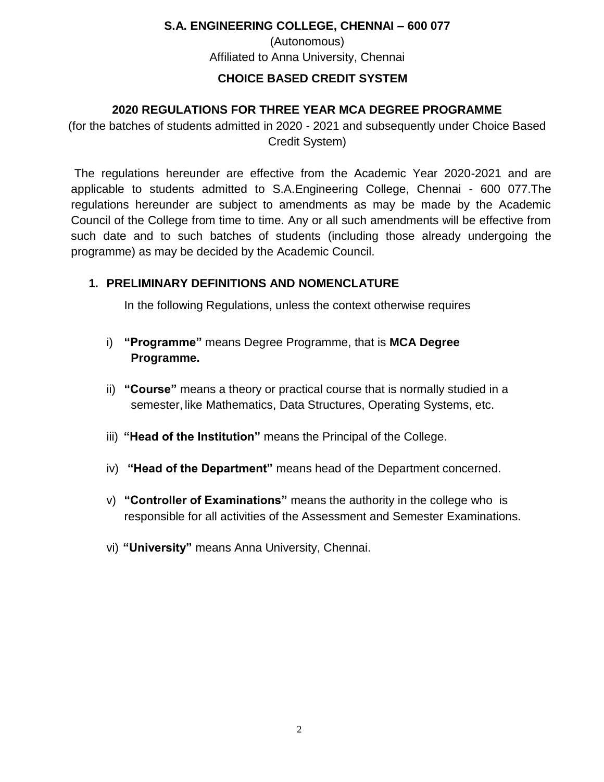## **S.A. ENGINEERING COLLEGE, CHENNAI – 600 077** (Autonomous) Affiliated to Anna University, Chennai

#### **CHOICE BASED CREDIT SYSTEM**

#### **2020 REGULATIONS FOR THREE YEAR MCA DEGREE PROGRAMME**

(for the batches of students admitted in 2020 - 2021 and subsequently under Choice Based Credit System)

The regulations hereunder are effective from the Academic Year 2020-2021 and are applicable to students admitted to S.A.Engineering College, Chennai - 600 077.The regulations hereunder are subject to amendments as may be made by the Academic Council of the College from time to time. Any or all such amendments will be effective from such date and to such batches of students (including those already undergoing the programme) as may be decided by the Academic Council.

#### **1. PRELIMINARY DEFINITIONS AND NOMENCLATURE**

In the following Regulations, unless the context otherwise requires

- i) **"Programme"** means Degree Programme, that is **MCA Degree Programme.**
- ii) **"Course"** means a theory or practical course that is normally studied in a semester, like Mathematics, Data Structures, Operating Systems, etc.
- iii) **"Head of the Institution"** means the Principal of the College.
- iv) **"Head of the Department"** means head of the Department concerned.
- v) **"Controller of Examinations"** means the authority in the college who is responsible for all activities of the Assessment and Semester Examinations.
- vi) **"University"** means Anna University, Chennai.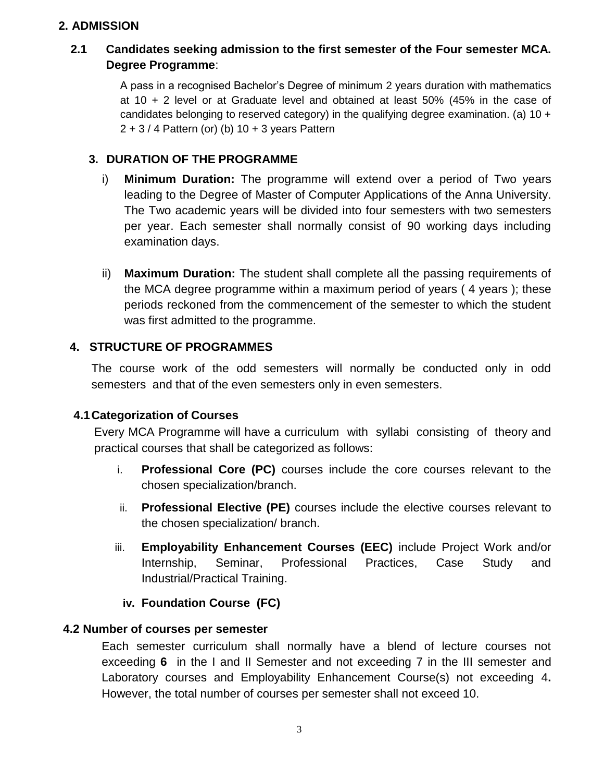#### **2. ADMISSION**

#### **2.1 Candidates seeking admission to the first semester of the Four semester MCA. Degree Programme**:

A pass in a recognised Bachelor's Degree of minimum 2 years duration with mathematics at 10 + 2 level or at Graduate level and obtained at least 50% (45% in the case of candidates belonging to reserved category) in the qualifying degree examination. (a)  $10 +$  $2 + 3 / 4$  Pattern (or) (b) 10 + 3 years Pattern

#### **3. DURATION OF THE PROGRAMME**

- i) **Minimum Duration:** The programme will extend over a period of Two years leading to the Degree of Master of Computer Applications of the Anna University. The Two academic years will be divided into four semesters with two semesters per year. Each semester shall normally consist of 90 working days including examination days.
- ii) **Maximum Duration:** The student shall complete all the passing requirements of the MCA degree programme within a maximum period of years ( 4 years ); these periods reckoned from the commencement of the semester to which the student was first admitted to the programme.

#### **4. STRUCTURE OF PROGRAMMES**

The course work of the odd semesters will normally be conducted only in odd semesters and that of the even semesters only in even semesters.

#### **4.1Categorization of Courses**

Every MCA Programme will have a curriculum with syllabi consisting of theory and practical courses that shall be categorized as follows:

- i. **Professional Core (PC)** courses include the core courses relevant to the chosen specialization/branch.
- ii. **Professional Elective (PE)** courses include the elective courses relevant to the chosen specialization/ branch.
- iii. **Employability Enhancement Courses (EEC)** include Project Work and/or Internship, Seminar, Professional Practices, Case Study and Industrial/Practical Training.

#### **iv. Foundation Course (FC)**

#### **4.2 Number of courses per semester**

Each semester curriculum shall normally have a blend of lecture courses not exceeding **6** in the I and II Semester and not exceeding 7 in the III semester and Laboratory courses and Employability Enhancement Course(s) not exceeding 4**.**  However, the total number of courses per semester shall not exceed 10.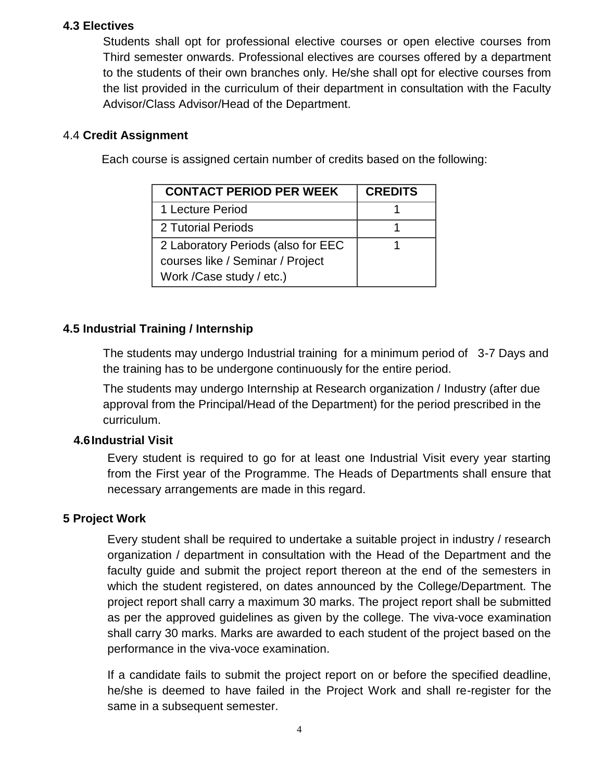#### **4.3 Electives**

Students shall opt for professional elective courses or open elective courses from Third semester onwards. Professional electives are courses offered by a department to the students of their own branches only. He/she shall opt for elective courses from the list provided in the curriculum of their department in consultation with the Faculty Advisor/Class Advisor/Head of the Department.

#### 4.4 **Credit Assignment**

Each course is assigned certain number of credits based on the following:

| <b>CONTACT PERIOD PER WEEK</b>     | <b>CREDITS</b> |
|------------------------------------|----------------|
| 1 Lecture Period                   |                |
| 2 Tutorial Periods                 |                |
| 2 Laboratory Periods (also for EEC |                |
| courses like / Seminar / Project   |                |
| Work / Case study / etc.)          |                |

## **4.5 Industrial Training / Internship**

The students may undergo Industrial training for a minimum period of 3-7 Days and the training has to be undergone continuously for the entire period.

The students may undergo Internship at Research organization / Industry (after due approval from the Principal/Head of the Department) for the period prescribed in the curriculum.

## **4.6Industrial Visit**

Every student is required to go for at least one Industrial Visit every year starting from the First year of the Programme. The Heads of Departments shall ensure that necessary arrangements are made in this regard.

## **5 Project Work**

Every student shall be required to undertake a suitable project in industry / research organization / department in consultation with the Head of the Department and the faculty guide and submit the project report thereon at the end of the semesters in which the student registered, on dates announced by the College/Department. The project report shall carry a maximum 30 marks. The project report shall be submitted as per the approved guidelines as given by the college. The viva-voce examination shall carry 30 marks. Marks are awarded to each student of the project based on the performance in the viva-voce examination.

If a candidate fails to submit the project report on or before the specified deadline, he/she is deemed to have failed in the Project Work and shall re-register for the same in a subsequent semester.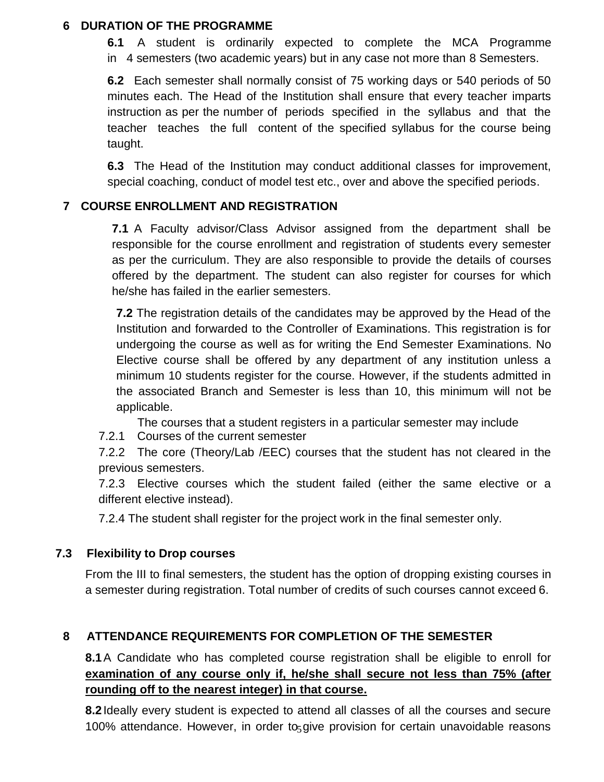#### **6 DURATION OF THE PROGRAMME**

**6.1** A student is ordinarily expected to complete the MCA Programme in 4 semesters (two academic years) but in any case not more than 8 Semesters.

**6.2** Each semester shall normally consist of 75 working days or 540 periods of 50 minutes each. The Head of the Institution shall ensure that every teacher imparts instruction as per the number of periods specified in the syllabus and that the teacher teaches the full content of the specified syllabus for the course being taught.

**6.3** The Head of the Institution may conduct additional classes for improvement, special coaching, conduct of model test etc., over and above the specified periods.

#### **7 COURSE ENROLLMENT AND REGISTRATION**

**7.1** A Faculty advisor/Class Advisor assigned from the department shall be responsible for the course enrollment and registration of students every semester as per the curriculum. They are also responsible to provide the details of courses offered by the department. The student can also register for courses for which he/she has failed in the earlier semesters.

**7.2** The registration details of the candidates may be approved by the Head of the Institution and forwarded to the Controller of Examinations. This registration is for undergoing the course as well as for writing the End Semester Examinations. No Elective course shall be offered by any department of any institution unless a minimum 10 students register for the course. However, if the students admitted in the associated Branch and Semester is less than 10, this minimum will not be applicable.

The courses that a student registers in a particular semester may include

7.2.1 Courses of the current semester

7.2.2 The core (Theory/Lab /EEC) courses that the student has not cleared in the previous semesters.

7.2.3 Elective courses which the student failed (either the same elective or a different elective instead).

7.2.4 The student shall register for the project work in the final semester only.

#### **7.3 Flexibility to Drop courses**

From the III to final semesters, the student has the option of dropping existing courses in a semester during registration. Total number of credits of such courses cannot exceed 6.

#### **8 ATTENDANCE REQUIREMENTS FOR COMPLETION OF THE SEMESTER**

**8.1**A Candidate who has completed course registration shall be eligible to enroll for **examination of any course only if, he/she shall secure not less than 75% (after rounding off to the nearest integer) in that course.**

100% attendance. However, in order to<sub>5</sub> give provision for certain unavoidable reasons **8.2**Ideally every student is expected to attend all classes of all the courses and secure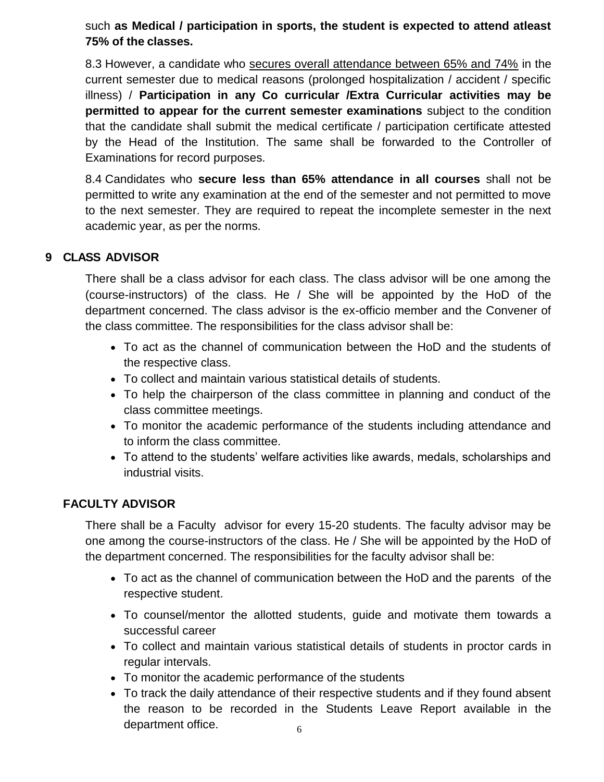such **as Medical / participation in sports, the student is expected to attend atleast 75% of the classes.**

8.3 However, a candidate who secures overall attendance between 65% and 74% in the current semester due to medical reasons (prolonged hospitalization / accident / specific illness) / **Participation in any Co curricular /Extra Curricular activities may be permitted to appear for the current semester examinations** subject to the condition that the candidate shall submit the medical certificate / participation certificate attested by the Head of the Institution. The same shall be forwarded to the Controller of Examinations for record purposes.

8.4 Candidates who **secure less than 65% attendance in all courses** shall not be permitted to write any examination at the end of the semester and not permitted to move to the next semester. They are required to repeat the incomplete semester in the next academic year, as per the norms.

#### **9 CLASS ADVISOR**

There shall be a class advisor for each class. The class advisor will be one among the (course-instructors) of the class. He / She will be appointed by the HoD of the department concerned. The class advisor is the ex-officio member and the Convener of the class committee. The responsibilities for the class advisor shall be:

- To act as the channel of communication between the HoD and the students of the respective class.
- To collect and maintain various statistical details of students.
- To help the chairperson of the class committee in planning and conduct of the class committee meetings.
- To monitor the academic performance of the students including attendance and to inform the class committee.
- To attend to the students' welfare activities like awards, medals, scholarships and industrial visits.

#### **FACULTY ADVISOR**

There shall be a Faculty advisor for every 15-20 students. The faculty advisor may be one among the course-instructors of the class. He / She will be appointed by the HoD of the department concerned. The responsibilities for the faculty advisor shall be:

- To act as the channel of communication between the HoD and the parents of the respective student.
- To counsel/mentor the allotted students, guide and motivate them towards a successful career
- To collect and maintain various statistical details of students in proctor cards in regular intervals.
- To monitor the academic performance of the students
- To track the daily attendance of their respective students and if they found absent the reason to be recorded in the Students Leave Report available in the department office.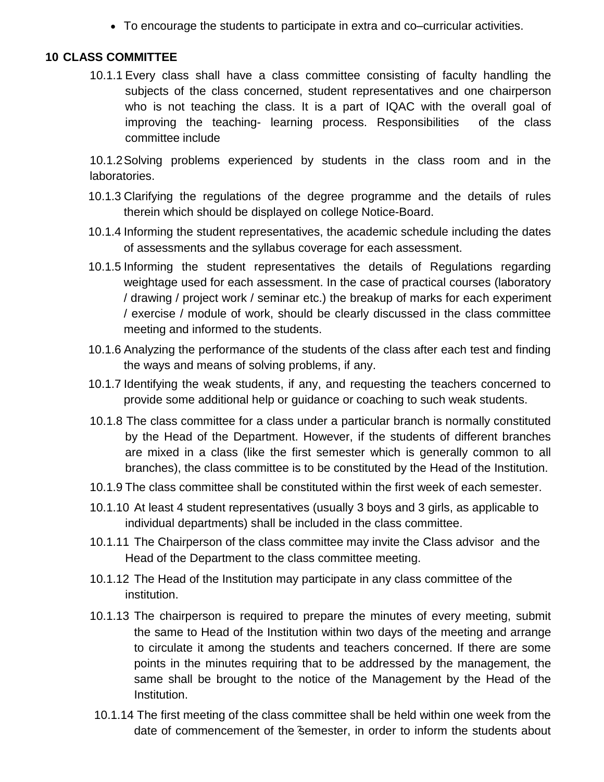To encourage the students to participate in extra and co–curricular activities.

#### **10 CLASS COMMITTEE**

10.1.1 Every class shall have a class committee consisting of faculty handling the subjects of the class concerned, student representatives and one chairperson who is not teaching the class. It is a part of IQAC with the overall goal of improving the teaching- learning process. Responsibilities of the class committee include

10.1.2Solving problems experienced by students in the class room and in the laboratories.

- 10.1.3 Clarifying the regulations of the degree programme and the details of rules therein which should be displayed on college Notice-Board.
- 10.1.4 Informing the student representatives, the academic schedule including the dates of assessments and the syllabus coverage for each assessment.
- 10.1.5 Informing the student representatives the details of Regulations regarding weightage used for each assessment. In the case of practical courses (laboratory / drawing / project work / seminar etc.) the breakup of marks for each experiment / exercise / module of work, should be clearly discussed in the class committee meeting and informed to the students.
- 10.1.6 Analyzing the performance of the students of the class after each test and finding the ways and means of solving problems, if any.
- 10.1.7 Identifying the weak students, if any, and requesting the teachers concerned to provide some additional help or guidance or coaching to such weak students.
- 10.1.8 The class committee for a class under a particular branch is normally constituted by the Head of the Department. However, if the students of different branches are mixed in a class (like the first semester which is generally common to all branches), the class committee is to be constituted by the Head of the Institution.
- 10.1.9 The class committee shall be constituted within the first week of each semester.
- 10.1.10 At least 4 student representatives (usually 3 boys and 3 girls, as applicable to individual departments) shall be included in the class committee.
- 10.1.11 The Chairperson of the class committee may invite the Class advisor and the Head of the Department to the class committee meeting.
- 10.1.12 The Head of the Institution may participate in any class committee of the institution.
- 10.1.13 The chairperson is required to prepare the minutes of every meeting, submit the same to Head of the Institution within two days of the meeting and arrange to circulate it among the students and teachers concerned. If there are some points in the minutes requiring that to be addressed by the management, the same shall be brought to the notice of the Management by the Head of the Institution.
- date of commencement of the semester, in order to inform the students about 10.1.14 The first meeting of the class committee shall be held within one week from the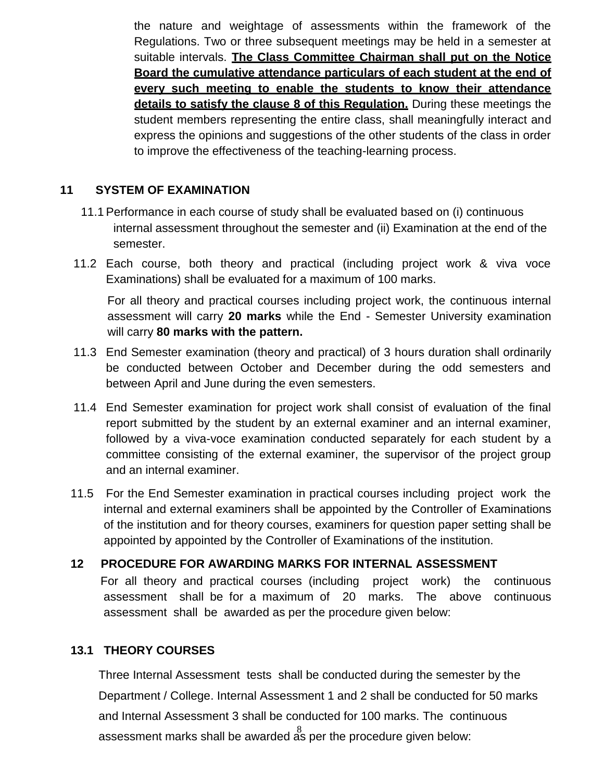the nature and weightage of assessments within the framework of the Regulations. Two or three subsequent meetings may be held in a semester at suitable intervals. **The Class Committee Chairman shall put on the Notice Board the cumulative attendance particulars of each student at the end of every such meeting to enable the students to know their attendance details to satisfy the clause 8 of this Regulation.** During these meetings the student members representing the entire class, shall meaningfully interact and express the opinions and suggestions of the other students of the class in order to improve the effectiveness of the teaching-learning process.

#### **11 SYSTEM OF EXAMINATION**

- 11.1 Performance in each course of study shall be evaluated based on (i) continuous internal assessment throughout the semester and (ii) Examination at the end of the semester.
- 11.2 Each course, both theory and practical (including project work & viva voce Examinations) shall be evaluated for a maximum of 100 marks.

For all theory and practical courses including project work, the continuous internal assessment will carry **20 marks** while the End - Semester University examination will carry **80 marks with the pattern.**

- 11.3 End Semester examination (theory and practical) of 3 hours duration shall ordinarily be conducted between October and December during the odd semesters and between April and June during the even semesters.
- 11.4 End Semester examination for project work shall consist of evaluation of the final report submitted by the student by an external examiner and an internal examiner, followed by a viva-voce examination conducted separately for each student by a committee consisting of the external examiner, the supervisor of the project group and an internal examiner.
- 11.5 For the End Semester examination in practical courses including project work the internal and external examiners shall be appointed by the Controller of Examinations of the institution and for theory courses, examiners for question paper setting shall be appointed by appointed by the Controller of Examinations of the institution.

## **12 PROCEDURE FOR AWARDING MARKS FOR INTERNAL ASSESSMENT** For all theory and practical courses (including project work) the continuous assessment shall be for a maximum of 20 marks. The above continuous assessment shall be awarded as per the procedure given below:

#### **13.1 THEORY COURSES**

assessment marks shall be awarded  $\stackrel{8}{\text{as}}$  per the procedure given below: Three Internal Assessment tests shall be conducted during the semester by the Department / College. Internal Assessment 1 and 2 shall be conducted for 50 marks and Internal Assessment 3 shall be conducted for 100 marks. The continuous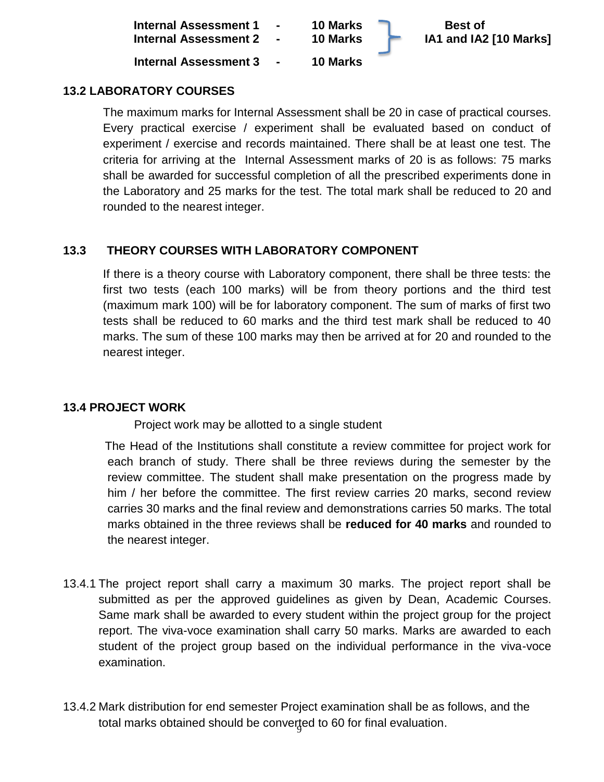| Internal Assessment 1 -<br>Internal Assessment 2 - | <b>10 Marks</b><br>10 Marks | <b>Best of</b><br>IA1 and IA2 [10 Marks] |
|----------------------------------------------------|-----------------------------|------------------------------------------|
| Internal Assessment 3 -                            | <b>10 Marks</b>             |                                          |

#### **13.2 LABORATORY COURSES**

The maximum marks for Internal Assessment shall be 20 in case of practical courses. Every practical exercise / experiment shall be evaluated based on conduct of experiment / exercise and records maintained. There shall be at least one test. The criteria for arriving at the Internal Assessment marks of 20 is as follows: 75 marks shall be awarded for successful completion of all the prescribed experiments done in the Laboratory and 25 marks for the test. The total mark shall be reduced to 20 and rounded to the nearest integer.

#### **13.3 THEORY COURSES WITH LABORATORY COMPONENT**

If there is a theory course with Laboratory component, there shall be three tests: the first two tests (each 100 marks) will be from theory portions and the third test (maximum mark 100) will be for laboratory component. The sum of marks of first two tests shall be reduced to 60 marks and the third test mark shall be reduced to 40 marks. The sum of these 100 marks may then be arrived at for 20 and rounded to the nearest integer.

#### **13.4 PROJECT WORK**

Project work may be allotted to a single student

The Head of the Institutions shall constitute a review committee for project work for each branch of study. There shall be three reviews during the semester by the review committee. The student shall make presentation on the progress made by him / her before the committee. The first review carries 20 marks, second review carries 30 marks and the final review and demonstrations carries 50 marks. The total marks obtained in the three reviews shall be **reduced for 40 marks** and rounded to the nearest integer.

- 13.4.1 The project report shall carry a maximum 30 marks. The project report shall be submitted as per the approved guidelines as given by Dean, Academic Courses. Same mark shall be awarded to every student within the project group for the project report. The viva-voce examination shall carry 50 marks. Marks are awarded to each student of the project group based on the individual performance in the viva-voce examination.
- total marks obtained should be converted to 60 for final evaluation. 13.4.2 Mark distribution for end semester Project examination shall be as follows, and the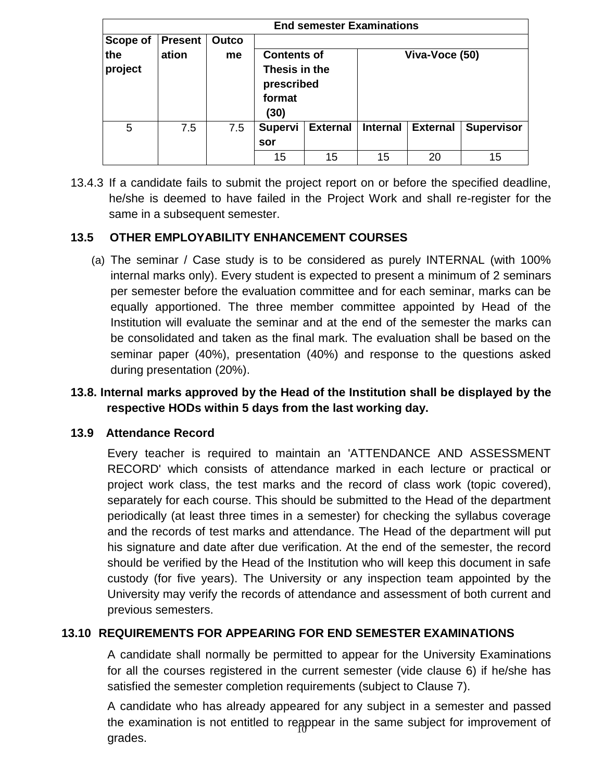| <b>End semester Examinations</b> |                         |             |                                                                     |                 |                 |                 |                   |                |  |
|----------------------------------|-------------------------|-------------|---------------------------------------------------------------------|-----------------|-----------------|-----------------|-------------------|----------------|--|
| Scope of<br>the<br>project       | <b>Present</b><br>ation | Outco<br>me | <b>Contents of</b><br>Thesis in the<br>prescribed<br>format<br>(30) |                 |                 |                 |                   | Viva-Voce (50) |  |
| 5                                | 7.5                     | 7.5         | <b>Supervi</b><br>sor                                               | <b>External</b> | <b>Internal</b> | <b>External</b> | <b>Supervisor</b> |                |  |
|                                  |                         |             | 15                                                                  | 15              | 15              | 20              | 15                |                |  |

13.4.3 If a candidate fails to submit the project report on or before the specified deadline, he/she is deemed to have failed in the Project Work and shall re-register for the same in a subsequent semester.

#### **13.5 OTHER EMPLOYABILITY ENHANCEMENT COURSES**

(a) The seminar / Case study is to be considered as purely INTERNAL (with 100% internal marks only). Every student is expected to present a minimum of 2 seminars per semester before the evaluation committee and for each seminar, marks can be equally apportioned. The three member committee appointed by Head of the Institution will evaluate the seminar and at the end of the semester the marks can be consolidated and taken as the final mark. The evaluation shall be based on the seminar paper (40%), presentation (40%) and response to the questions asked during presentation (20%).

## **13.8. Internal marks approved by the Head of the Institution shall be displayed by the respective HODs within 5 days from the last working day.**

#### **13.9 Attendance Record**

Every teacher is required to maintain an 'ATTENDANCE AND ASSESSMENT RECORD' which consists of attendance marked in each lecture or practical or project work class, the test marks and the record of class work (topic covered), separately for each course. This should be submitted to the Head of the department periodically (at least three times in a semester) for checking the syllabus coverage and the records of test marks and attendance. The Head of the department will put his signature and date after due verification. At the end of the semester, the record should be verified by the Head of the Institution who will keep this document in safe custody (for five years). The University or any inspection team appointed by the University may verify the records of attendance and assessment of both current and previous semesters.

#### **13.10 REQUIREMENTS FOR APPEARING FOR END SEMESTER EXAMINATIONS**

A candidate shall normally be permitted to appear for the University Examinations for all the courses registered in the current semester (vide clause 6) if he/she has satisfied the semester completion requirements (subject to Clause 7).

the examination is not entitled to reappear in the same subject for improvement of A candidate who has already appeared for any subject in a semester and passed grades.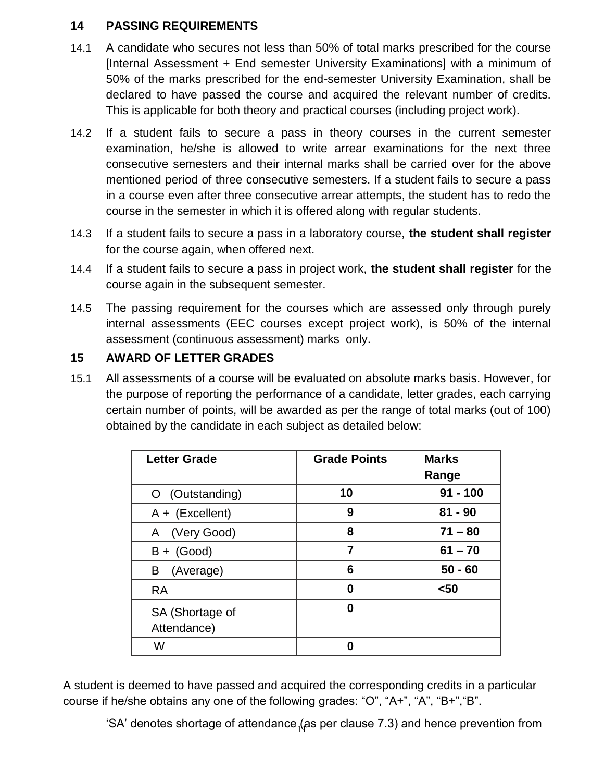#### **14 PASSING REQUIREMENTS**

- 14.1 A candidate who secures not less than 50% of total marks prescribed for the course [Internal Assessment + End semester University Examinations] with a minimum of 50% of the marks prescribed for the end-semester University Examination, shall be declared to have passed the course and acquired the relevant number of credits. This is applicable for both theory and practical courses (including project work).
- 14.2 If a student fails to secure a pass in theory courses in the current semester examination, he/she is allowed to write arrear examinations for the next three consecutive semesters and their internal marks shall be carried over for the above mentioned period of three consecutive semesters. If a student fails to secure a pass in a course even after three consecutive arrear attempts, the student has to redo the course in the semester in which it is offered along with regular students.
- 14.3 If a student fails to secure a pass in a laboratory course, **the student shall register**  for the course again, when offered next.
- 14.4 If a student fails to secure a pass in project work, **the student shall register** for the course again in the subsequent semester.
- 14.5 The passing requirement for the courses which are assessed only through purely internal assessments (EEC courses except project work), is 50% of the internal assessment (continuous assessment) marks only.

## **15 AWARD OF LETTER GRADES**

15.1 All assessments of a course will be evaluated on absolute marks basis. However, for the purpose of reporting the performance of a candidate, letter grades, each carrying certain number of points, will be awarded as per the range of total marks (out of 100) obtained by the candidate in each subject as detailed below:

| <b>Letter Grade</b>            | <b>Grade Points</b> | <b>Marks</b><br>Range |
|--------------------------------|---------------------|-----------------------|
| O (Outstanding)                | 10                  | $91 - 100$            |
| $A + (Excellent)$              | 9                   | $81 - 90$             |
| (Very Good)<br>A               | 8                   | $71 - 80$             |
| $B + (Good)$                   | 7                   | $61 - 70$             |
| (Average)<br>B                 | 6                   | $50 - 60$             |
| <b>RA</b>                      | 0                   | $50$                  |
| SA (Shortage of<br>Attendance) | 0                   |                       |
| W                              | O                   |                       |

A student is deemed to have passed and acquired the corresponding credits in a particular course if he/she obtains any one of the following grades: "O", "A+", "A", "B+","B".

'SA' denotes shortage of attendance  $_1$ (as per clause 7.3) and hence prevention from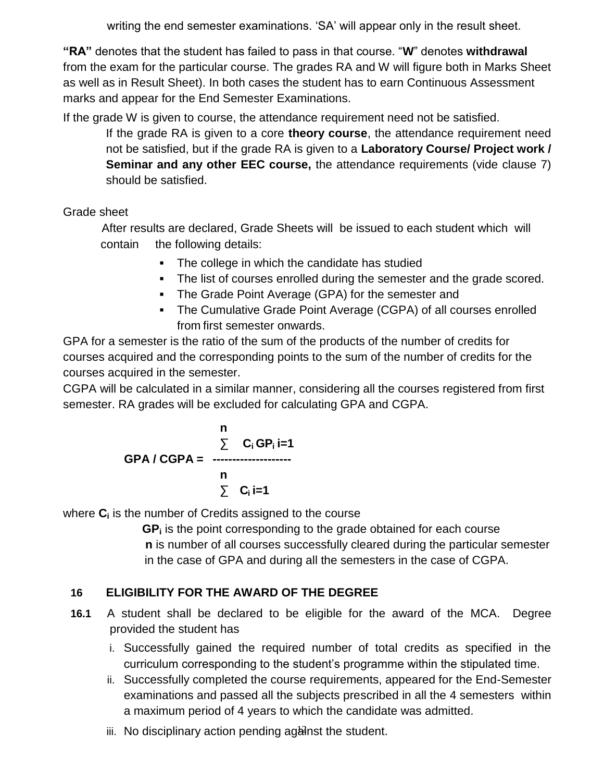writing the end semester examinations. 'SA' will appear only in the result sheet.

**"RA"** denotes that the student has failed to pass in that course. "**W**" denotes **withdrawal**  from the exam for the particular course. The grades RA and W will figure both in Marks Sheet as well as in Result Sheet). In both cases the student has to earn Continuous Assessment marks and appear for the End Semester Examinations.

If the grade W is given to course, the attendance requirement need not be satisfied.

If the grade RA is given to a core **theory course**, the attendance requirement need not be satisfied, but if the grade RA is given to a **Laboratory Course/ Project work / Seminar and any other EEC course, the attendance requirements (vide clause 7)** should be satisfied.

Grade sheet

After results are declared, Grade Sheets will be issued to each student which will contain the following details:

- The college in which the candidate has studied
- The list of courses enrolled during the semester and the grade scored.
- The Grade Point Average (GPA) for the semester and
- The Cumulative Grade Point Average (CGPA) of all courses enrolled from first semester onwards.

GPA for a semester is the ratio of the sum of the products of the number of credits for courses acquired and the corresponding points to the sum of the number of credits for the courses acquired in the semester.

CGPA will be calculated in a similar manner, considering all the courses registered from first semester. RA grades will be excluded for calculating GPA and CGPA.

$$
GPA / CGPA = \frac{\sum_{i=1}^{n} C_i GP_i i = 1}{\sum_{i=1}^{n} C_i}
$$

where **C<sup>i</sup>** is the number of Credits assigned to the course

**GP<sup>i</sup>** is the point corresponding to the grade obtained for each course **n** is number of all courses successfully cleared during the particular semester in the case of GPA and during all the semesters in the case of CGPA.

## **16 ELIGIBILITY FOR THE AWARD OF THE DEGREE**

- **16.1** A student shall be declared to be eligible for the award of the MCA. Degree provided the student has
	- i. Successfully gained the required number of total credits as specified in the curriculum corresponding to the student's programme within the stipulated time.
	- ii. Successfully completed the course requirements, appeared for the End-Semester examinations and passed all the subjects prescribed in all the 4 semesters within a maximum period of 4 years to which the candidate was admitted.
	- iii. No disciplinary action pending aganst the student.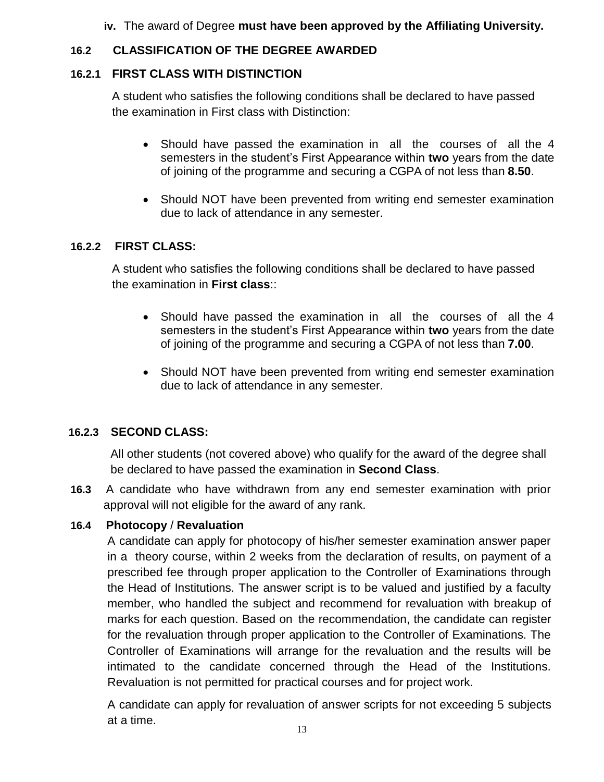**iv.** The award of Degree **must have been approved by the Affiliating University.**

## **16.2 CLASSIFICATION OF THE DEGREE AWARDED**

## **16.2.1 FIRST CLASS WITH DISTINCTION**

A student who satisfies the following conditions shall be declared to have passed the examination in First class with Distinction:

- Should have passed the examination in all the courses of all the 4 semesters in the student's First Appearance within **two** years from the date of joining of the programme and securing a CGPA of not less than **8.50**.
- Should NOT have been prevented from writing end semester examination due to lack of attendance in any semester.

## **16.2.2 FIRST CLASS:**

A student who satisfies the following conditions shall be declared to have passed the examination in **First class**::

- Should have passed the examination in all the courses of all the 4 semesters in the student's First Appearance within **two** years from the date of joining of the programme and securing a CGPA of not less than **7.00**.
- Should NOT have been prevented from writing end semester examination due to lack of attendance in any semester.

#### **16.2.3 SECOND CLASS:**

All other students (not covered above) who qualify for the award of the degree shall be declared to have passed the examination in **Second Class**.

**16.3** A candidate who have withdrawn from any end semester examination with prior approval will not eligible for the award of any rank.

## **16.4 Photocopy** / **Revaluation**

A candidate can apply for photocopy of his/her semester examination answer paper in a theory course, within 2 weeks from the declaration of results, on payment of a prescribed fee through proper application to the Controller of Examinations through the Head of Institutions. The answer script is to be valued and justified by a faculty member, who handled the subject and recommend for revaluation with breakup of marks for each question. Based on the recommendation, the candidate can register for the revaluation through proper application to the Controller of Examinations. The Controller of Examinations will arrange for the revaluation and the results will be intimated to the candidate concerned through the Head of the Institutions. Revaluation is not permitted for practical courses and for project work.

A candidate can apply for revaluation of answer scripts for not exceeding 5 subjects at a time.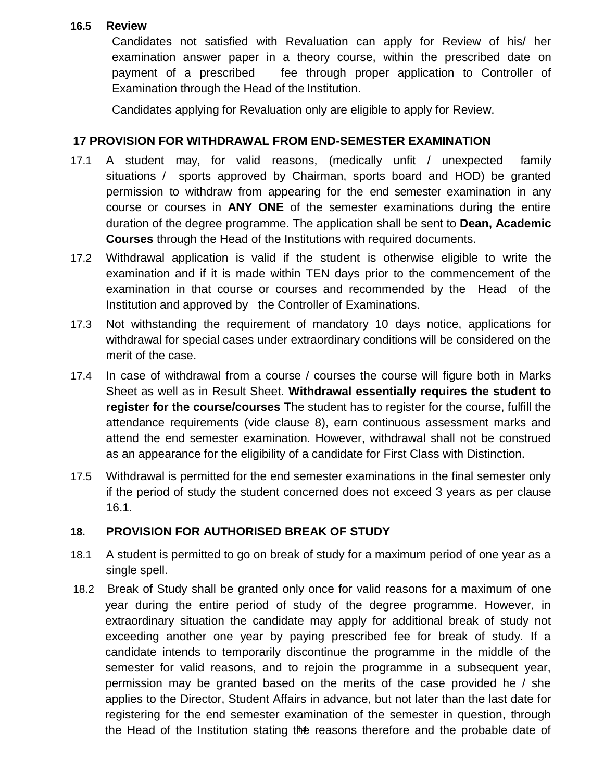#### **16.5 Review**

Candidates not satisfied with Revaluation can apply for Review of his/ her examination answer paper in a theory course, within the prescribed date on payment of a prescribed fee through proper application to Controller of Examination through the Head of the Institution.

Candidates applying for Revaluation only are eligible to apply for Review.

#### **17 PROVISION FOR WITHDRAWAL FROM END-SEMESTER EXAMINATION**

- 17.1 A student may, for valid reasons, (medically unfit / unexpected family situations / sports approved by Chairman, sports board and HOD) be granted permission to withdraw from appearing for the end semester examination in any course or courses in **ANY ONE** of the semester examinations during the entire duration of the degree programme. The application shall be sent to **Dean, Academic Courses** through the Head of the Institutions with required documents.
- 17.2 Withdrawal application is valid if the student is otherwise eligible to write the examination and if it is made within TEN days prior to the commencement of the examination in that course or courses and recommended by the Head of the Institution and approved by the Controller of Examinations.
- 17.3 Not withstanding the requirement of mandatory 10 days notice, applications for withdrawal for special cases under extraordinary conditions will be considered on the merit of the case.
- 17.4 In case of withdrawal from a course / courses the course will figure both in Marks Sheet as well as in Result Sheet. **Withdrawal essentially requires the student to register for the course/courses** The student has to register for the course, fulfill the attendance requirements (vide clause 8), earn continuous assessment marks and attend the end semester examination. However, withdrawal shall not be construed as an appearance for the eligibility of a candidate for First Class with Distinction.
- 17.5 Withdrawal is permitted for the end semester examinations in the final semester only if the period of study the student concerned does not exceed 3 years as per clause 16.1.

#### **18. PROVISION FOR AUTHORISED BREAK OF STUDY**

- 18.1 A student is permitted to go on break of study for a maximum period of one year as a single spell.
- the Head of the Institution stating the reasons therefore and the probable date of 18.2 Break of Study shall be granted only once for valid reasons for a maximum of one year during the entire period of study of the degree programme. However, in extraordinary situation the candidate may apply for additional break of study not exceeding another one year by paying prescribed fee for break of study. If a candidate intends to temporarily discontinue the programme in the middle of the semester for valid reasons, and to rejoin the programme in a subsequent year, permission may be granted based on the merits of the case provided he / she applies to the Director, Student Affairs in advance, but not later than the last date for registering for the end semester examination of the semester in question, through